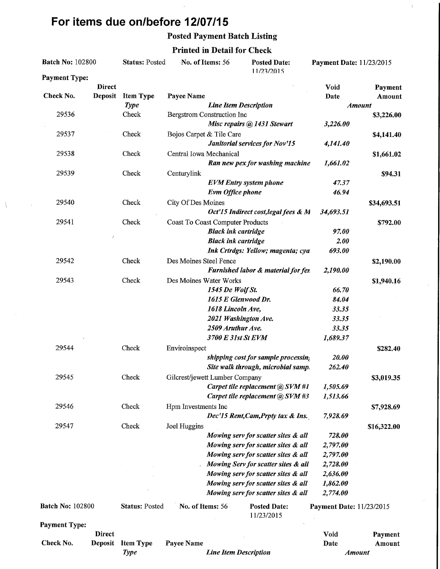# For items due on/before 12/07/15

 $\lambda$ 

## Posted Payment Batch Listing

 $\bar{1}$ 

## Printed in Detail for Check

| <b>Batch No: 102800</b> |                          | <b>Status: Posted</b> | No. of Items: 56                        |                              | <b>Posted Date:</b><br>11/23/2015    | Payment Date: 11/23/2015        |                   |
|-------------------------|--------------------------|-----------------------|-----------------------------------------|------------------------------|--------------------------------------|---------------------------------|-------------------|
| <b>Payment Type:</b>    |                          |                       |                                         |                              |                                      |                                 |                   |
| Check No.               | <b>Direct</b><br>Deposit | <b>Item Type</b>      | Payee Name                              |                              |                                      | <b>Void</b><br>Date             | Payment<br>Amount |
|                         |                          | <b>Type</b>           | <b>Line Item Description</b>            |                              |                                      |                                 | <b>Amount</b>     |
| 29536                   |                          | Check                 | <b>Bergstrom Construction Inc</b>       |                              |                                      |                                 | \$3,226.00        |
|                         |                          |                       |                                         |                              | Misc repairs @ 1431 Stewart          | 3,226.00                        |                   |
| 29537                   |                          | Check                 | Bojos Carpet & Tile Care                |                              |                                      |                                 | \$4,141.40        |
|                         |                          |                       |                                         |                              | Janitorial services for Nov'15       | 4,141.40                        |                   |
| 29538                   |                          | Check                 | Central Iowa Mechanical                 |                              |                                      |                                 | \$1,661.02        |
|                         |                          |                       |                                         |                              | Ran new pex for washing machine      | 1,661.02                        |                   |
| 29539                   |                          | Check                 | Centurylink                             |                              |                                      |                                 | \$94.31           |
|                         |                          |                       |                                         |                              | <b>EVM</b> Entry system phone        | 47.37                           |                   |
|                         |                          |                       |                                         | Evm Office phone             |                                      | 46.94                           |                   |
| 29540                   |                          | Check                 | City Of Des Moines                      |                              |                                      |                                 | \$34,693.51       |
|                         |                          |                       |                                         |                              | Oct'15 Indirect cost, legal fees & M | 34,693.51                       |                   |
| 29541                   |                          | Check                 | <b>Coast To Coast Computer Products</b> |                              |                                      |                                 | \$792.00          |
|                         |                          |                       |                                         | <b>Black ink cartridge</b>   |                                      | 97.00                           |                   |
|                         | 2                        |                       |                                         | <b>Black ink cartridge</b>   |                                      | 2.00                            |                   |
|                         |                          |                       |                                         |                              | Ink Crtrdgs: Yellow; magenta; cya    | 693.00                          |                   |
| 29542                   |                          | Check                 | Des Moines Steel Fence                  |                              |                                      |                                 | \$2,190.00        |
|                         |                          |                       |                                         |                              | Furnished labor & material for fer.  | 2,190.00                        |                   |
| 29543                   |                          | Check                 | Des Moines Water Works                  |                              |                                      |                                 | \$1,940.16        |
|                         |                          |                       |                                         | 1545 De Wolf St.             |                                      | 66.70                           |                   |
|                         |                          |                       |                                         | 1615 E Glenwood Dr.          |                                      | 84.04                           |                   |
|                         |                          |                       |                                         | 1618 Lincoln Ave,            |                                      | 33.35                           |                   |
|                         |                          |                       |                                         |                              | 2021 Washington Ave.                 | 33.35                           |                   |
|                         |                          |                       |                                         | 2509 Aruthur Ave.            |                                      | 33.35                           |                   |
|                         |                          |                       |                                         | 3700 E 31st St EVM           |                                      | 1,689.37                        |                   |
| 29544                   |                          | Check                 | Enviroinspect                           |                              |                                      |                                 | \$282.40          |
|                         |                          |                       |                                         |                              | shipping cost for sample processin;  | 20.00                           |                   |
|                         |                          |                       |                                         |                              | Site walk through, microbial samp.   | 262,40                          |                   |
| 29545                   |                          | Check                 | Gilcrest/jewett Lumber Company          |                              |                                      |                                 | \$3,019.35        |
|                         |                          |                       |                                         |                              | Carpet tile replacement @ SVM #1     | 1,505.69                        |                   |
|                         |                          |                       |                                         |                              | Carpet tile replacement @ SVM #3     | 1,513.66                        |                   |
| 29546                   |                          | Check                 | Hpm Investments Inc                     |                              |                                      |                                 | \$7,928.69        |
|                         |                          |                       |                                         |                              | Dec'15 Rent, Cam, Prpty tax & Ins.   | 7,928.69                        |                   |
| 29547                   |                          | Check                 | Joel Huggins                            |                              |                                      |                                 | \$16,322.00       |
|                         |                          |                       |                                         |                              | Mowing serv for scatter sites & all  | 728.00                          |                   |
|                         |                          |                       |                                         |                              | Mowing serv for scatter sites & all  | 2,797.00                        |                   |
|                         |                          |                       |                                         |                              | Mowing serv for scatter sites & all  | 2,797.00                        |                   |
|                         |                          |                       |                                         |                              | Mowing Serv for scatter sites & all  | 2,728.00                        |                   |
|                         |                          |                       |                                         |                              | Mowing serv for scatter sites & all  | 2,636.00                        |                   |
|                         |                          |                       |                                         |                              | Mowing serv for scatter sites & all  | 1,862.00                        |                   |
|                         |                          |                       |                                         |                              | Mowing serv for scatter sites & all  | 2,774.00                        |                   |
| <b>Batch No: 102800</b> |                          | <b>Status: Posted</b> | No. of Items: 56                        |                              | <b>Posted Date:</b><br>11/23/2015    | <b>Payment Date: 11/23/2015</b> |                   |
| <b>Payment Type:</b>    |                          |                       |                                         |                              |                                      |                                 |                   |
|                         | <b>Direct</b>            |                       |                                         |                              |                                      | Void                            | Payment           |
| Check No.               | <b>Deposit</b>           | <b>Item Type</b>      | Payee Name                              |                              |                                      | Date                            | Amount            |
|                         |                          | <b>Type</b>           |                                         | <b>Line Item Description</b> |                                      |                                 | <b>Amount</b>     |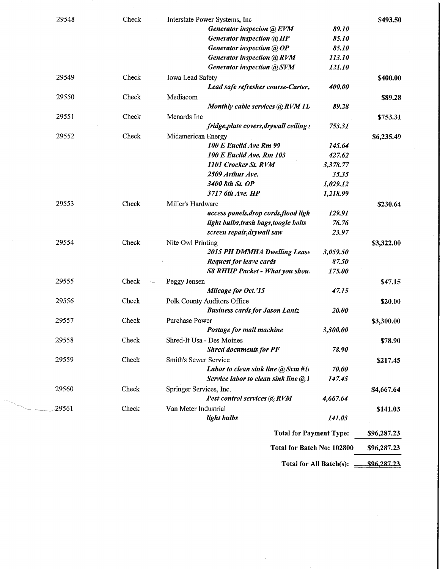| 29548 | Check | Interstate Power Systems, Inc                                     |                               | \$493.50    |
|-------|-------|-------------------------------------------------------------------|-------------------------------|-------------|
|       |       | Generator inspeción @ EVM                                         | 89.10                         |             |
|       |       | Generator inspection @ HP                                         | 85.10                         |             |
|       |       | Generator inspection @ OP                                         | 85.10                         |             |
|       |       | <b>Generator inspection @ RVM</b>                                 | 113.10                        |             |
|       |       | Generator inspection @ SVM                                        | 121.10                        |             |
| 29549 | Check | <b>Iowa Lead Safety</b>                                           |                               | \$400.00    |
|       |       | Lead safe refresher course-Carter,.                               | 400.00                        |             |
| 29550 | Check | Mediacom                                                          |                               | \$89.28     |
|       |       | Monthly cable services @ RVM 11,                                  | 89.28                         |             |
| 29551 | Check | Menards Inc                                                       |                               | \$753.31    |
|       |       | fridge, plate covers, drywall ceiling                             | 753.31                        |             |
| 29552 | Check | Midamerican Energy                                                |                               | \$6,235.49  |
|       |       | 100 E Euclid Ave Rm 99                                            | 145.64                        |             |
|       |       | <b>100 E Euclid Ave. Rm 103</b>                                   | 427.62                        |             |
|       |       | 1101 Crocker St. RVM                                              | 3,378.77                      |             |
|       |       | 2509 Arthur Ave.                                                  | 35.35                         |             |
|       |       | 3400 8th St. OP                                                   | 1,029.12                      |             |
|       |       | 3717 6th Ave. HP                                                  | 1,218.99                      |             |
| 29553 | Check | Miller's Hardware                                                 |                               | \$230.64    |
|       |       | access panels, drop cords, flood ligh                             | 129.91                        |             |
|       |       | light bulbs, trash bags, toogle bolts                             | 76.76                         |             |
|       |       | screen repair, drywall saw                                        | 23.97                         |             |
| 29554 | Check | Nite Owl Printing                                                 |                               | \$3,322.00  |
|       |       | 2015 PH DMMHA Dwelling Lease                                      | 3,059.50                      |             |
|       |       | <b>Request for leave cards</b>                                    | 87.50                         |             |
|       |       | <b>S8 RHIIP Packet - What you shou.</b>                           | 175.00                        |             |
| 29555 | Check | Peggy Jensen                                                      |                               | \$47.15     |
|       |       | Mileage for Oct.'15                                               | 47.15                         |             |
| 29556 | Check | Polk County Auditors Office                                       |                               | \$20.00     |
|       |       | <b>Business cards for Jason Lantz</b>                             | 20.00                         |             |
| 29557 | Check | <b>Purchase Power</b>                                             |                               |             |
|       |       | Postage for mail machine                                          | 3,300.00                      | \$3,300.00  |
| 29558 | Check | Shred-It Usa - Des Moines                                         |                               |             |
|       |       | <b>Shred documents for PF</b>                                     | 78.90                         | \$78.90     |
|       |       |                                                                   |                               |             |
| 29559 | Check | Smith's Sewer Service<br>Labor to clean sink line $\omega$ Svm #1 |                               | \$217.45    |
|       |       | Service labor to clean sink line $(a)$ l                          | <i><b>70.00</b></i><br>147.45 |             |
|       |       |                                                                   |                               |             |
| 29560 | Check | Springer Services, Inc.                                           |                               | \$4,667.64  |
|       |       | Pest control services @ RVM                                       | 4,667.64                      |             |
| 29561 | Check | Van Meter Industrial                                              |                               | \$141.03    |
|       |       | light bulbs                                                       | 141.03                        |             |
|       |       | <b>Total for Payment Type:</b>                                    |                               | \$96,287.23 |
|       |       | Total for Batch No: 102800                                        |                               | \$96,287.23 |
|       |       |                                                                   |                               |             |

and the

Total for All Batch(s):  $\frac{$96,287,23}{\sqrt{7}}$